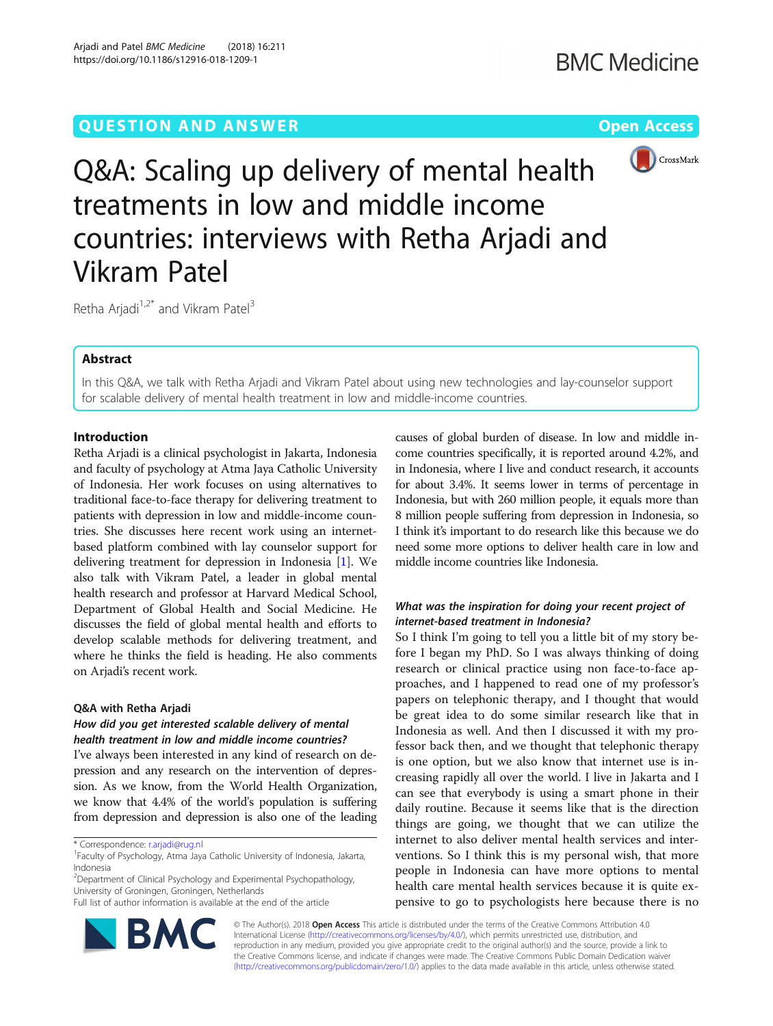

Q&A: Scaling up delivery of mental health treatments in low and middle income countries: interviews with Retha Arjadi and Vikram Patel

Retha Arjadi<sup>1,2\*</sup> and Vikram Patel<sup>3</sup>

# Abstract

In this Q&A, we talk with Retha Arjadi and Vikram Patel about using new technologies and lay-counselor support for scalable delivery of mental health treatment in low and middle-income countries.

# Introduction

Retha Arjadi is a clinical psychologist in Jakarta, Indonesia and faculty of psychology at Atma Jaya Catholic University of Indonesia. Her work focuses on using alternatives to traditional face-to-face therapy for delivering treatment to patients with depression in low and middle-income countries. She discusses here recent work using an internetbased platform combined with lay counselor support for delivering treatment for depression in Indonesia [\[1](#page-3-0)]. We also talk with Vikram Patel, a leader in global mental health research and professor at Harvard Medical School, Department of Global Health and Social Medicine. He discusses the field of global mental health and efforts to develop scalable methods for delivering treatment, and where he thinks the field is heading. He also comments on Arjadi's recent work.

### Q&A with Retha Arjadi

### How did you get interested scalable delivery of mental health treatment in low and middle income countries?

I've always been interested in any kind of research on depression and any research on the intervention of depression. As we know, from the World Health Organization, we know that 4.4% of the world's population is suffering from depression and depression is also one of the leading

\* Correspondence: [r.arjadi@rug.nl](mailto:r.arjadi@rug.nl) <sup>1</sup>

<sup>2</sup>Department of Clinical Psychology and Experimental Psychopathology, University of Groningen, Groningen, Netherlands

Full list of author information is available at the end of the article



# What was the inspiration for doing your recent project of internet-based treatment in Indonesia?

So I think I'm going to tell you a little bit of my story before I began my PhD. So I was always thinking of doing research or clinical practice using non face-to-face approaches, and I happened to read one of my professor's papers on telephonic therapy, and I thought that would be great idea to do some similar research like that in Indonesia as well. And then I discussed it with my professor back then, and we thought that telephonic therapy is one option, but we also know that internet use is increasing rapidly all over the world. I live in Jakarta and I can see that everybody is using a smart phone in their daily routine. Because it seems like that is the direction things are going, we thought that we can utilize the internet to also deliver mental health services and interventions. So I think this is my personal wish, that more people in Indonesia can have more options to mental health care mental health services because it is quite expensive to go to psychologists here because there is no

© The Author(s). 2018 Open Access This article is distributed under the terms of the Creative Commons Attribution 4.0 International License [\(http://creativecommons.org/licenses/by/4.0/](http://creativecommons.org/licenses/by/4.0/)), which permits unrestricted use, distribution, and reproduction in any medium, provided you give appropriate credit to the original author(s) and the source, provide a link to the Creative Commons license, and indicate if changes were made. The Creative Commons Public Domain Dedication waiver [\(http://creativecommons.org/publicdomain/zero/1.0/](http://creativecommons.org/publicdomain/zero/1.0/)) applies to the data made available in this article, unless otherwise stated.



<sup>&</sup>lt;sup>1</sup> Faculty of Psychology, Atma Jaya Catholic University of Indonesia, Jakarta, Indonesia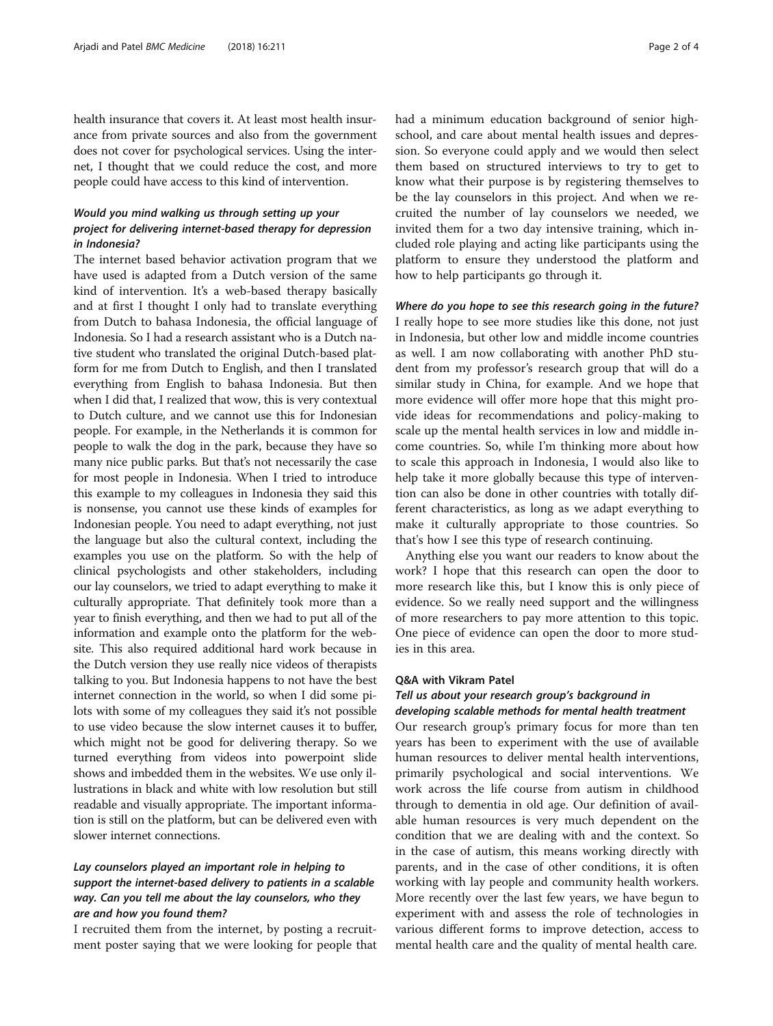health insurance that covers it. At least most health insurance from private sources and also from the government does not cover for psychological services. Using the internet, I thought that we could reduce the cost, and more people could have access to this kind of intervention.

### Would you mind walking us through setting up your project for delivering internet-based therapy for depression in Indonesia?

The internet based behavior activation program that we have used is adapted from a Dutch version of the same kind of intervention. It's a web-based therapy basically and at first I thought I only had to translate everything from Dutch to bahasa Indonesia, the official language of Indonesia. So I had a research assistant who is a Dutch native student who translated the original Dutch-based platform for me from Dutch to English, and then I translated everything from English to bahasa Indonesia. But then when I did that, I realized that wow, this is very contextual to Dutch culture, and we cannot use this for Indonesian people. For example, in the Netherlands it is common for people to walk the dog in the park, because they have so many nice public parks. But that's not necessarily the case for most people in Indonesia. When I tried to introduce this example to my colleagues in Indonesia they said this is nonsense, you cannot use these kinds of examples for Indonesian people. You need to adapt everything, not just the language but also the cultural context, including the examples you use on the platform. So with the help of clinical psychologists and other stakeholders, including our lay counselors, we tried to adapt everything to make it culturally appropriate. That definitely took more than a year to finish everything, and then we had to put all of the information and example onto the platform for the website. This also required additional hard work because in the Dutch version they use really nice videos of therapists talking to you. But Indonesia happens to not have the best internet connection in the world, so when I did some pilots with some of my colleagues they said it's not possible to use video because the slow internet causes it to buffer, which might not be good for delivering therapy. So we turned everything from videos into powerpoint slide shows and imbedded them in the websites. We use only illustrations in black and white with low resolution but still readable and visually appropriate. The important information is still on the platform, but can be delivered even with slower internet connections.

# Lay counselors played an important role in helping to support the internet-based delivery to patients in a scalable way. Can you tell me about the lay counselors, who they are and how you found them?

I recruited them from the internet, by posting a recruitment poster saying that we were looking for people that had a minimum education background of senior highschool, and care about mental health issues and depression. So everyone could apply and we would then select them based on structured interviews to try to get to know what their purpose is by registering themselves to be the lay counselors in this project. And when we recruited the number of lay counselors we needed, we invited them for a two day intensive training, which included role playing and acting like participants using the platform to ensure they understood the platform and how to help participants go through it.

Where do you hope to see this research going in the future? I really hope to see more studies like this done, not just in Indonesia, but other low and middle income countries as well. I am now collaborating with another PhD student from my professor's research group that will do a similar study in China, for example. And we hope that more evidence will offer more hope that this might provide ideas for recommendations and policy-making to scale up the mental health services in low and middle income countries. So, while I'm thinking more about how to scale this approach in Indonesia, I would also like to help take it more globally because this type of intervention can also be done in other countries with totally different characteristics, as long as we adapt everything to make it culturally appropriate to those countries. So that's how I see this type of research continuing.

Anything else you want our readers to know about the work? I hope that this research can open the door to more research like this, but I know this is only piece of evidence. So we really need support and the willingness of more researchers to pay more attention to this topic. One piece of evidence can open the door to more studies in this area.

#### Q&A with Vikram Patel

## Tell us about your research group's background in developing scalable methods for mental health treatment

Our research group's primary focus for more than ten years has been to experiment with the use of available human resources to deliver mental health interventions, primarily psychological and social interventions. We work across the life course from autism in childhood through to dementia in old age. Our definition of available human resources is very much dependent on the condition that we are dealing with and the context. So in the case of autism, this means working directly with parents, and in the case of other conditions, it is often working with lay people and community health workers. More recently over the last few years, we have begun to experiment with and assess the role of technologies in various different forms to improve detection, access to mental health care and the quality of mental health care.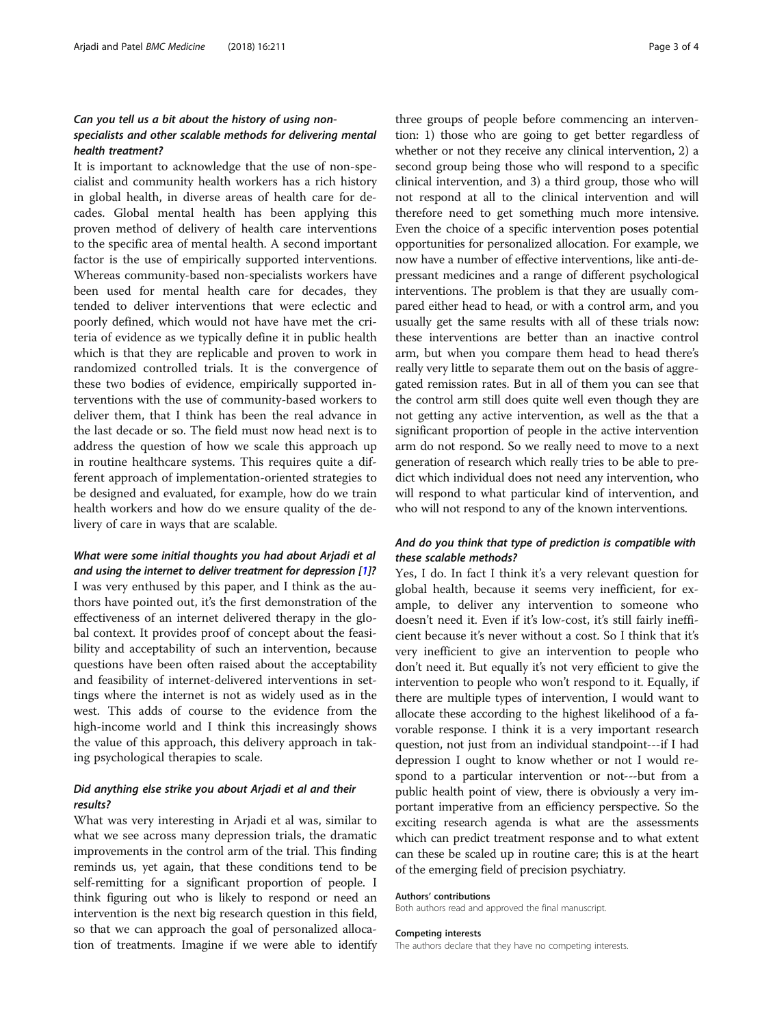## Can you tell us a bit about the history of using nonspecialists and other scalable methods for delivering mental health treatment?

It is important to acknowledge that the use of non-specialist and community health workers has a rich history in global health, in diverse areas of health care for decades. Global mental health has been applying this proven method of delivery of health care interventions to the specific area of mental health. A second important factor is the use of empirically supported interventions. Whereas community-based non-specialists workers have been used for mental health care for decades, they tended to deliver interventions that were eclectic and poorly defined, which would not have have met the criteria of evidence as we typically define it in public health which is that they are replicable and proven to work in randomized controlled trials. It is the convergence of these two bodies of evidence, empirically supported interventions with the use of community-based workers to deliver them, that I think has been the real advance in the last decade or so. The field must now head next is to address the question of how we scale this approach up in routine healthcare systems. This requires quite a different approach of implementation-oriented strategies to be designed and evaluated, for example, how do we train health workers and how do we ensure quality of the delivery of care in ways that are scalable.

# What were some initial thoughts you had about Arjadi et al

and using the internet to deliver treatment for depression [[1\]](#page-3-0)? I was very enthused by this paper, and I think as the authors have pointed out, it's the first demonstration of the effectiveness of an internet delivered therapy in the global context. It provides proof of concept about the feasibility and acceptability of such an intervention, because questions have been often raised about the acceptability and feasibility of internet-delivered interventions in settings where the internet is not as widely used as in the west. This adds of course to the evidence from the high-income world and I think this increasingly shows the value of this approach, this delivery approach in taking psychological therapies to scale.

## Did anything else strike you about Arjadi et al and their results?

What was very interesting in Arjadi et al was, similar to what we see across many depression trials, the dramatic improvements in the control arm of the trial. This finding reminds us, yet again, that these conditions tend to be self-remitting for a significant proportion of people. I think figuring out who is likely to respond or need an intervention is the next big research question in this field, so that we can approach the goal of personalized allocation of treatments. Imagine if we were able to identify three groups of people before commencing an intervention: 1) those who are going to get better regardless of whether or not they receive any clinical intervention, 2) a second group being those who will respond to a specific clinical intervention, and 3) a third group, those who will not respond at all to the clinical intervention and will therefore need to get something much more intensive. Even the choice of a specific intervention poses potential opportunities for personalized allocation. For example, we now have a number of effective interventions, like anti-depressant medicines and a range of different psychological interventions. The problem is that they are usually compared either head to head, or with a control arm, and you usually get the same results with all of these trials now: these interventions are better than an inactive control arm, but when you compare them head to head there's really very little to separate them out on the basis of aggregated remission rates. But in all of them you can see that the control arm still does quite well even though they are not getting any active intervention, as well as the that a significant proportion of people in the active intervention arm do not respond. So we really need to move to a next generation of research which really tries to be able to predict which individual does not need any intervention, who will respond to what particular kind of intervention, and who will not respond to any of the known interventions.

#### And do you think that type of prediction is compatible with these scalable methods?

Yes, I do. In fact I think it's a very relevant question for global health, because it seems very inefficient, for example, to deliver any intervention to someone who doesn't need it. Even if it's low-cost, it's still fairly inefficient because it's never without a cost. So I think that it's very inefficient to give an intervention to people who don't need it. But equally it's not very efficient to give the intervention to people who won't respond to it. Equally, if there are multiple types of intervention, I would want to allocate these according to the highest likelihood of a favorable response. I think it is a very important research question, not just from an individual standpoint---if I had depression I ought to know whether or not I would respond to a particular intervention or not---but from a public health point of view, there is obviously a very important imperative from an efficiency perspective. So the exciting research agenda is what are the assessments which can predict treatment response and to what extent can these be scaled up in routine care; this is at the heart of the emerging field of precision psychiatry.

#### Authors' contributions

Both authors read and approved the final manuscript.

#### Competing interests

The authors declare that they have no competing interests.